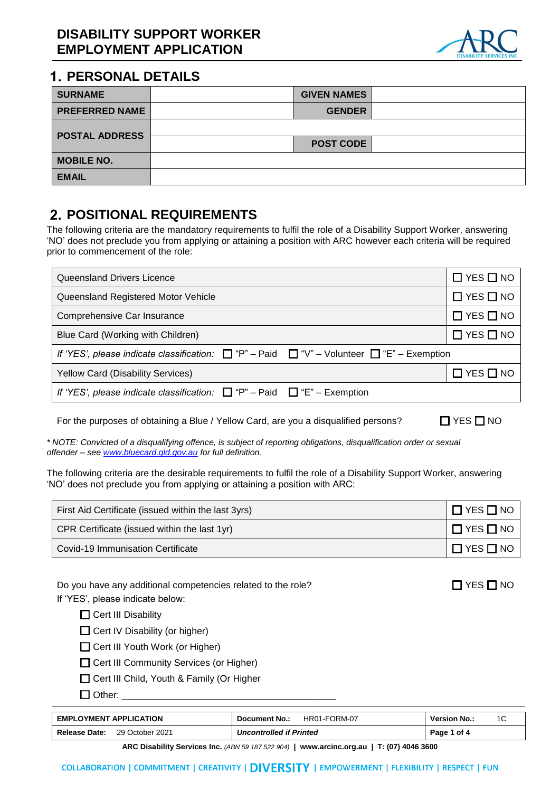

#### **PERSONAL DETAILS**

| <b>SURNAME</b>        | <b>GIVEN NAMES</b> |  |
|-----------------------|--------------------|--|
| <b>PREFERRED NAME</b> | <b>GENDER</b>      |  |
| <b>POSTAL ADDRESS</b> |                    |  |
|                       | <b>POST CODE</b>   |  |
| <b>MOBILE NO.</b>     |                    |  |
| <b>EMAIL</b>          |                    |  |

# **POSITIONAL REQUIREMENTS**

The following criteria are the mandatory requirements to fulfil the role of a Disability Support Worker, answering 'NO' does not preclude you from applying or attaining a position with ARC however each criteria will be required prior to commencement of the role:

| Queensland Drivers Licence                                                                                | $\Box$ YES $\Box$ NO |
|-----------------------------------------------------------------------------------------------------------|----------------------|
| Queensland Registered Motor Vehicle                                                                       | $\Box$ YES $\Box$ NO |
| Comprehensive Car Insurance                                                                               | $\Box$ YES $\Box$ NO |
| Blue Card (Working with Children)                                                                         | $\Box$ YES $\Box$ NO |
| If 'YES', please indicate classification: $\Box$ "P" - Paid $\Box$ "V" - Volunteer $\Box$ "E" - Exemption |                      |
| <b>Yellow Card (Disability Services)</b>                                                                  | $\Box$ YES $\Box$ NO |
| If 'YES', please indicate classification: $\Box$ "P" – Paid $\Box$ "E" – Exemption                        |                      |

For the purposes of obtaining a Blue / Yellow Card, are you a disqualified persons?  $\Box$  YES  $\Box$  NO

*\* NOTE: Convicted of a disqualifying offence, is subject of reporting obligations, disqualification order or sexual offender – se[e www.bluecard.qld.gov.au](http://www.bluecard.qld.gov.au/) for full definition.*

The following criteria are the desirable requirements to fulfil the role of a Disability Support Worker, answering 'NO' does not preclude you from applying or attaining a position with ARC:

| First Aid Certificate (issued within the last 3yrs) | $\Box$ YES $\Box$ NO |
|-----------------------------------------------------|----------------------|
| CPR Certificate (issued within the last 1yr)        | $\Box$ YES $\Box$ NO |
| Covid-19 Immunisation Certificate                   | $\Box$ YES $\Box$ NO |

| Do you have any additional competencies related to the role? |
|--------------------------------------------------------------|
| If 'YES', please indicate below:                             |

 $\Box$  Cert III Disability

- $\Box$  Cert IV Disability (or higher)
- □ Cert III Youth Work (or Higher)
- **Cert III Community Services (or Higher)**
- □ Cert III Child, Youth & Family (Or Higher
- $\Box$  Other:

| <b>EMPLOYMENT APPLICATION</b>    | HR01-FORM-07<br><b>Document No.:</b> | <b>Version No.:</b> |
|----------------------------------|--------------------------------------|---------------------|
| Release Date:<br>29 October 2021 | <b>Uncontrolled if Printed</b>       | Page 1 of 4         |

**ARC Disability Services Inc.** *(ABN 59 187 522 904)* **| www.arcinc.org.au | T: (07) 4046 3600**

 $\square$  YES  $\square$  NO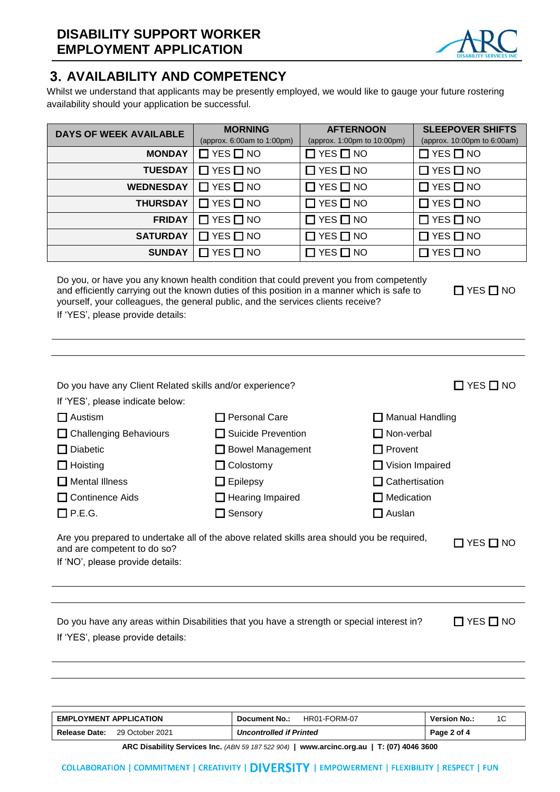

## **AVAILABILITY AND COMPETENCY**

Whilst we understand that applicants may be presently employed, we would like to gauge your future rostering availability should your application be successful.

| <b>DAYS OF WEEK AVAILABLE</b> | <b>MORNING</b><br>(approx. $6.00am$ to $1.00pm$ ) | <b>AFTERNOON</b><br>(approx. 1:00pm to 10:00pm) | <b>SLEEPOVER SHIFTS</b><br>(approx. 10:00pm to 6:00am) |
|-------------------------------|---------------------------------------------------|-------------------------------------------------|--------------------------------------------------------|
|                               |                                                   |                                                 |                                                        |
| <b>MONDAY</b>                 | $\Box$ YES $\Box$ NO                              | $\Box$ YES $\Box$ NO                            | $\Box$ YES $\Box$ NO                                   |
| <b>TUESDAY</b>                | $\Box$ YES $\Box$ NO                              | $\Box$ YES $\Box$ NO                            | $\Box$ YES $\Box$ NO                                   |
| <b>WEDNESDAY</b>              | $\Box$ YES $\Box$ NO                              | $\Box$ YES $\Box$ NO                            | $\Box$ YES $\Box$ NO                                   |
| <b>THURSDAY</b>               | $\Box$ YES $\Box$ NO                              | $\Box$ YES $\Box$ NO                            | $\Box$ YES $\Box$ NO                                   |
| <b>FRIDAY</b>                 | $\Box$ YES $\Box$ NO                              | $\Box$ YES $\Box$ NO                            | $\Box$ YES $\Box$ NO                                   |
| <b>SATURDAY</b>               | $\Box$ YES $\Box$ NO                              | $\Box$ YES $\Box$ NO                            | $\Box$ YES $\Box$ NO                                   |
| <b>SUNDAY</b>                 | $\Box$ YES $\Box$ NO                              | $\Box$ YES $\Box$ NO                            | $\Box$ YES $\Box$ NO                                   |

Do you, or have you any known health condition that could prevent you from competently and efficiently carrying out the known duties of this position in a manner which is safe to yourself, your colleagues, the general public, and the services clients receive? If 'YES', please provide details:

 $\Box$  YES  $\Box$  NO

| If 'YES', please indicate below: |                                                                                            |                        |
|----------------------------------|--------------------------------------------------------------------------------------------|------------------------|
| $\Box$ Austism                   | T Personal Care                                                                            | $\Box$ Manual Handling |
| $\Box$ Challenging Behaviours    | $\Box$ Suicide Prevention                                                                  | $\Box$ Non-verbal      |
| <b>Diabetic</b><br>$\mathsf{L}$  | $\Box$ Bowel Management                                                                    | $\Box$ Provent         |
| $\Box$ Hoisting                  | $\Box$ Colostomy                                                                           | $\Box$ Vision Impaired |
| $\Box$ Mental Illness            | $\Box$ Epilepsy                                                                            | $\Box$ Cathertisation  |
| $\Box$ Continence Aids           | $\Box$ Hearing Impaired                                                                    | $\Box$ Medication      |
| $\Box$ P.E.G.                    | $\Box$ Sensory                                                                             | $\Box$ Auslan          |
| and are competent to do so?      | Are you prepared to undertake all of the above related skills area should you be required, | $\Box$ YES $\Box$ NO   |
| If 'NO', please provide details: |                                                                                            |                        |

Do you have any Client Related skills and/or experience? <br>
■ YES NO

Do you have any areas within Disabilities that you have a strength or special interest in?  $\Box$  YES  $\Box$  NO If 'YES', please provide details:

| <b>EMPLOYMENT APPLICATION</b>           | HR01-FORM-07<br>Document No.:  | <b>Version No.:</b> |
|-----------------------------------------|--------------------------------|---------------------|
| <b>Release Date:</b><br>29 October 2021 | <b>Uncontrolled if Printed</b> | Page 2 of 4         |

**ARC Disability Services Inc.** *(ABN 59 187 522 904)* **| www.arcinc.org.au | T: (07) 4046 3600**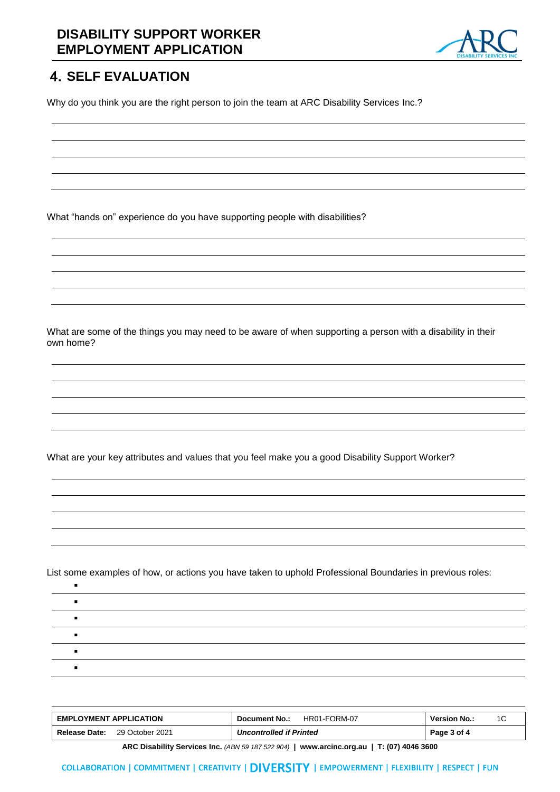#### **DISABILITY SUPPORT WORKER EMPLOYMENT APPLICATION**



## **4. SELF EVALUATION**

Why do you think you are the right person to join the team at ARC Disability Services Inc.?

What "hands on" experience do you have supporting people with disabilities?

What are some of the things you may need to be aware of when supporting a person with a disability in their own home?

What are your key attributes and values that you feel make you a good Disability Support Worker?

List some examples of how, or actions you have taken to uphold Professional Boundaries in previous roles:

| <b>EMPLOYMENT APPLICATION</b>    | HR01-FORM-07<br>Document No.:  | <b>Version No.:</b> |
|----------------------------------|--------------------------------|---------------------|
| Release Date:<br>29 October 2021 | <b>Uncontrolled if Printed</b> | Page 3 of 4         |

**ARC Disability Services Inc.** *(ABN 59 187 522 904)* **| www.arcinc.org.au | T: (07) 4046 3600**